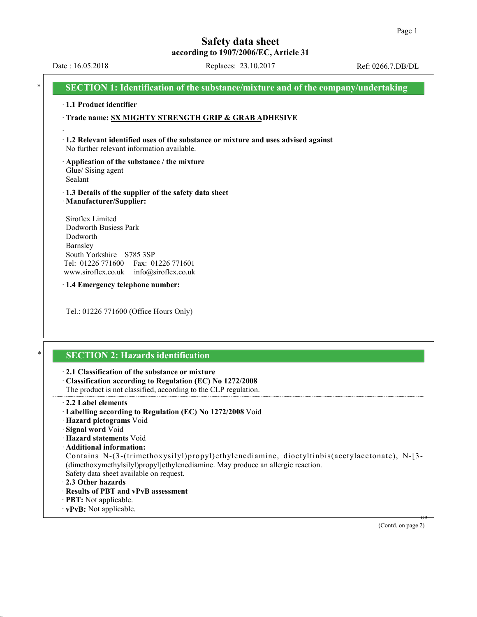GB

(Contd. on page 2)

# **Safety data sheet according to 1907/2006/EC, Article 31**

· **vPvB:** Not applicable.

Date : 16.05.2018 Replaces: 23.10.2017 Ref: 0266.7.DB/DL

|                                                                                     | SECTION 1: Identification of the substance/mixture and of the company/undertaking                                                                                                                                                                     |
|-------------------------------------------------------------------------------------|-------------------------------------------------------------------------------------------------------------------------------------------------------------------------------------------------------------------------------------------------------|
| 1.1 Product identifier                                                              |                                                                                                                                                                                                                                                       |
|                                                                                     | Trade name: SX MIGHTY STRENGTH GRIP & GRAB ADHESIVE                                                                                                                                                                                                   |
|                                                                                     |                                                                                                                                                                                                                                                       |
|                                                                                     | · 1.2 Relevant identified uses of the substance or mixture and uses advised against<br>No further relevant information available.                                                                                                                     |
| Glue/ Sising agent<br>Sealant                                                       | Application of the substance / the mixture                                                                                                                                                                                                            |
|                                                                                     | 1.3 Details of the supplier of the safety data sheet<br>· Manufacturer/Supplier:                                                                                                                                                                      |
| Siroflex Limited<br>Dodworth<br>Barnsley<br>Tel: 01226 771600<br>www.siroflex.co.uk | Dodworth Busiess Park<br>South Yorkshire S785 3SP<br>Fax: 01226 771601<br>info@siroflex.co.uk                                                                                                                                                         |
|                                                                                     | 1.4 Emergency telephone number:                                                                                                                                                                                                                       |
|                                                                                     | Tel.: 01226 771600 (Office Hours Only)                                                                                                                                                                                                                |
|                                                                                     | <b>SECTION 2: Hazards identification</b>                                                                                                                                                                                                              |
|                                                                                     | 2.1 Classification of the substance or mixture<br>Classification according to Regulation (EC) No 1272/2008<br>The product is not classified, according to the CLP regulation.                                                                         |
| 2.2 Label elements                                                                  | · Labelling according to Regulation (EC) No 1272/2008 Void<br>Hazard pictograms Void                                                                                                                                                                  |
| · Signal word Void                                                                  | · Hazard statements Void                                                                                                                                                                                                                              |
| 2.3 Other hazards                                                                   | Additional information:<br>Contains N-(3-(trimethoxysilyl)propyl)ethylenediamine, dioctyltinbis(acetylacetonate), N-[3-<br>(dimethoxymethylsilyl)propyl]ethylenediamine. May produce an allergic reaction.<br>Safety data sheet available on request. |
|                                                                                     | · Results of PBT and vPvB assessment                                                                                                                                                                                                                  |
| · <b>PBT</b> : Not applicable.                                                      |                                                                                                                                                                                                                                                       |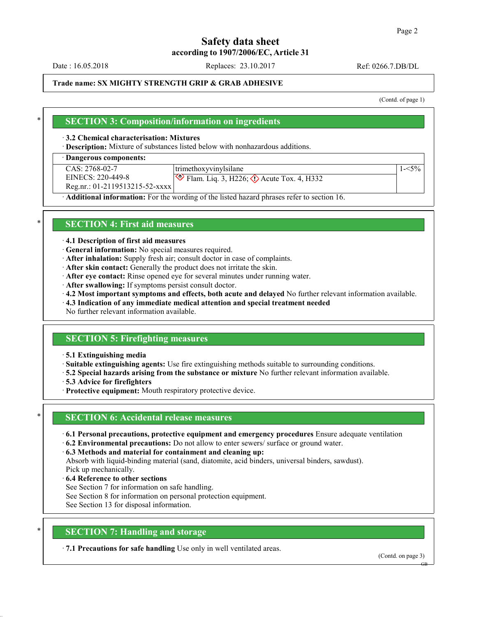Date : 16.05.2018 Replaces: 23.10.2017 Ref: 0266.7.DB/DL

## **Trade name: SX MIGHTY STRENGTH GRIP & GRAB ADHESIVE**

(Contd. of page 1)

### \* **SECTION 3: Composition/information on ingredients**

#### · **3.2 Chemical characterisation: Mixtures**

· **Description:** Mixture of substances listed below with nonhazardous additions.

#### · **Dangerous components:**

| $CAS: 2768-02-7$                 | trimethoxyvinylsilane                                      |  |
|----------------------------------|------------------------------------------------------------|--|
| EINECS: 220-449-8                | $\otimes$ Flam. Liq. 3, H226; $\otimes$ Acute Tox. 4, H332 |  |
| $Reg.nr.: 01-2119513215-52-xxxx$ |                                                            |  |
| .<br>- - -<br>$-$                | .                                                          |  |

· **Additional information:** For the wording of the listed hazard phrases refer to section 16.

#### \* **SECTION 4: First aid measures**

#### · **4.1 Description of first aid measures**

- · **General information:** No special measures required.
- · **After inhalation:** Supply fresh air; consult doctor in case of complaints.
- · **After skin contact:** Generally the product does not irritate the skin.
- · **After eye contact:** Rinse opened eye for several minutes under running water.
- · **After swallowing:** If symptoms persist consult doctor.
- · **4.2 Most important symptoms and effects, both acute and delayed** No further relevant information available.
- · **4.3 Indication of any immediate medical attention and special treatment needed**

No further relevant information available.

## **SECTION 5: Firefighting measures**

#### · **5.1 Extinguishing media**

· **Suitable extinguishing agents:** Use fire extinguishing methods suitable to surrounding conditions.

- · **5.2 Special hazards arising from the substance or mixture** No further relevant information available.
- · **5.3 Advice for firefighters**
- · **Protective equipment:** Mouth respiratory protective device.

#### **SECTION 6: Accidental release measures**

- · **6.1 Personal precautions, protective equipment and emergency procedures** Ensure adequate ventilation
- · **6.2 Environmental precautions:** Do not allow to enter sewers/ surface or ground water.

#### · **6.3 Methods and material for containment and cleaning up:**

Absorb with liquid-binding material (sand, diatomite, acid binders, universal binders, sawdust). Pick up mechanically.

- · **6.4 Reference to other sections**
- See Section 7 for information on safe handling.
- See Section 8 for information on personal protection equipment.
- See Section 13 for disposal information.

# **SECTION 7: Handling and storage**

· **7.1 Precautions for safe handling** Use only in well ventilated areas.

(Contd. on page 3)

GB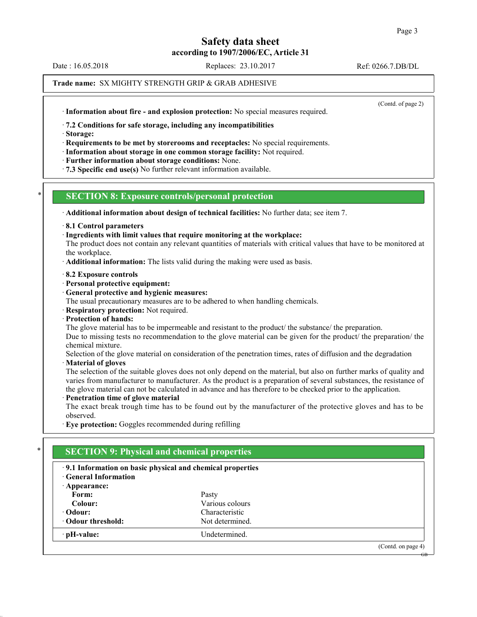Date : 16.05.2018 Replaces: 23.10.2017 Ref: 0266.7.DB/DL

#### **Trade name:** SX MIGHTY STRENGTH GRIP & GRAB ADHESIVE

(Contd. of page 2)

GB

· **Information about fire - and explosion protection:** No special measures required.

· **7.2 Conditions for safe storage, including any incompatibilities**

· **Storage:**

· **Requirements to be met by storerooms and receptacles:** No special requirements.

· **Information about storage in one common storage facility:** Not required.

· **Further information about storage conditions:** None.

· **7.3 Specific end use(s)** No further relevant information available.

## \* **SECTION 8: Exposure controls/personal protection**

· **Additional information about design of technical facilities:** No further data; see item 7.

· **8.1 Control parameters**

· **Ingredients with limit values that require monitoring at the workplace:**

The product does not contain any relevant quantities of materials with critical values that have to be monitored at the workplace.

· **Additional information:** The lists valid during the making were used as basis.

#### · **8.2 Exposure controls**

- · **Personal protective equipment:**
- · **General protective and hygienic measures:**

The usual precautionary measures are to be adhered to when handling chemicals.

- · **Respiratory protection:** Not required.
- · **Protection of hands:**

The glove material has to be impermeable and resistant to the product/ the substance/ the preparation.

Due to missing tests no recommendation to the glove material can be given for the product/ the preparation/ the chemical mixture.

Selection of the glove material on consideration of the penetration times, rates of diffusion and the degradation

#### · **Material of gloves**

The selection of the suitable gloves does not only depend on the material, but also on further marks of quality and varies from manufacturer to manufacturer. As the product is a preparation of several substances, the resistance of the glove material can not be calculated in advance and has therefore to be checked prior to the application.

## · **Penetration time of glove material**

The exact break trough time has to be found out by the manufacturer of the protective gloves and has to be observed.

· **Eye protection:** Goggles recommended during refilling

# **SECTION 9: Physical and chemical properties**

| .9.1 Information on basic physical and chemical properties<br><b>General Information</b> |                 |                   |
|------------------------------------------------------------------------------------------|-----------------|-------------------|
| $\cdot$ Appearance:                                                                      |                 |                   |
| Form:                                                                                    | Pasty           |                   |
| Colour:                                                                                  | Various colours |                   |
| • Odour:                                                                                 | Characteristic  |                   |
| • Odour threshold:                                                                       | Not determined. |                   |
| · pH-value:                                                                              | Undetermined.   |                   |
|                                                                                          |                 | (Cond. on page 4) |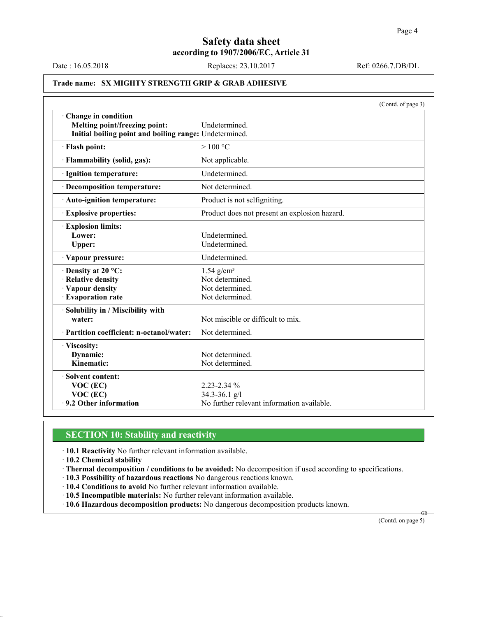Date : 16.05.2018 Replaces: 23.10.2017 Ref: 0266.7.DB/DL

# **Trade name: SX MIGHTY STRENGTH GRIP & GRAB ADHESIVE**

|                                                        | (Contd. of page 3)                            |  |
|--------------------------------------------------------|-----------------------------------------------|--|
| Change in condition                                    |                                               |  |
| Melting point/freezing point:                          | Undetermined.                                 |  |
| Initial boiling point and boiling range: Undetermined. |                                               |  |
| · Flash point:                                         | >100 °C                                       |  |
| · Flammability (solid, gas):                           | Not applicable.                               |  |
| · Ignition temperature:                                | Undetermined.                                 |  |
| · Decomposition temperature:                           | Not determined.                               |  |
| · Auto-ignition temperature:                           | Product is not selfigniting.                  |  |
| <b>Explosive properties:</b>                           | Product does not present an explosion hazard. |  |
| <b>Explosion limits:</b>                               |                                               |  |
| Lower:                                                 | Undetermined.                                 |  |
| Upper:                                                 | Undetermined.                                 |  |
| Vapour pressure:                                       | Undetermined.                                 |  |
| Density at 20 °C:                                      | $1.54$ g/cm <sup>3</sup>                      |  |
| · Relative density                                     | Not determined.                               |  |
| · Vapour density                                       | Not determined.                               |  |
| · Evaporation rate                                     | Not determined.                               |  |
| · Solubility in / Miscibility with                     |                                               |  |
| water:                                                 | Not miscible or difficult to mix.             |  |
| · Partition coefficient: n-octanol/water:              | Not determined.                               |  |
| · Viscosity:                                           |                                               |  |
| Dynamic:                                               | Not determined.                               |  |
| Kinematic:                                             | Not determined.                               |  |
| · Solvent content:                                     |                                               |  |
| $VOC$ (EC)                                             | $2.23 - 2.34 \%$                              |  |
| VOC (EC)                                               | 34.3-36.1 $g/l$                               |  |
| .9.2 Other information                                 | No further relevant information available.    |  |

## **SECTION 10: Stability and reactivity**

- · **10.1 Reactivity** No further relevant information available.
- · **10.2 Chemical stability**
- · **Thermal decomposition / conditions to be avoided:** No decomposition if used according to specifications.
- · **10.3 Possibility of hazardous reactions** No dangerous reactions known.
- · **10.4 Conditions to avoid** No further relevant information available.
- · **10.5 Incompatible materials:** No further relevant information available.
- · **10.6 Hazardous decomposition products:** No dangerous decomposition products known.

(Contd. on page 5)

GB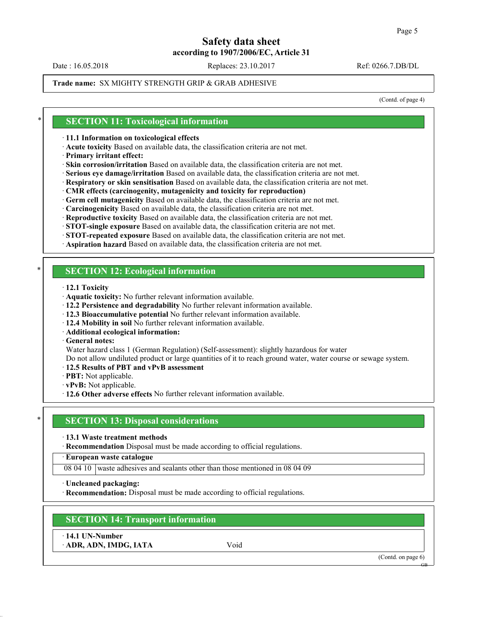Date : 16.05.2018 Replaces: 23.10.2017 Ref: 0266.7.DB/DL

#### **Trade name:** SX MIGHTY STRENGTH GRIP & GRAB ADHESIVE

(Contd. of page 4)

#### **SECTION 11: Toxicological information**

#### · **11.1 Information on toxicological effects**

- · **Acute toxicity** Based on available data, the classification criteria are not met.
- · **Primary irritant effect:**
- · **Skin corrosion/irritation** Based on available data, the classification criteria are not met.
- · **Serious eye damage/irritation** Based on available data, the classification criteria are not met.
- · **Respiratory or skin sensitisation** Based on available data, the classification criteria are not met.
- · **CMR effects (carcinogenity, mutagenicity and toxicity for reproduction)**
- · **Germ cell mutagenicity** Based on available data, the classification criteria are not met.
- · **Carcinogenicity** Based on available data, the classification criteria are not met.
- · **Reproductive toxicity** Based on available data, the classification criteria are not met.
- · **STOT-single exposure** Based on available data, the classification criteria are not met.
- · **STOT-repeated exposure** Based on available data, the classification criteria are not met.

· **Aspiration hazard** Based on available data, the classification criteria are not met.

#### **SECTION 12: Ecological information**

- · **12.1 Toxicity**
- · **Aquatic toxicity:** No further relevant information available.
- · **12.2 Persistence and degradability** No further relevant information available.
- · **12.3 Bioaccumulative potential** No further relevant information available.
- · **12.4 Mobility in soil** No further relevant information available.
- · **Additional ecological information:**
- · **General notes:**

Water hazard class 1 (German Regulation) (Self-assessment): slightly hazardous for water

- Do not allow undiluted product or large quantities of it to reach ground water, water course or sewage system.
- · **12.5 Results of PBT and vPvB assessment**
- · **PBT:** Not applicable.
- · **vPvB:** Not applicable.
- · **12.6 Other adverse effects** No further relevant information available.

# **SECTION 13: Disposal considerations**

- · **13.1 Waste treatment methods**
- · **Recommendation** Disposal must be made according to official regulations.
- · **European waste catalogue**

08 04 10 waste adhesives and sealants other than those mentioned in 08 04 09

· **Uncleaned packaging:**

· **Recommendation:** Disposal must be made according to official regulations.

## **SECTION 14: Transport information**

· **14.1 UN-Number**

· **ADR, ADN, IMDG, IATA** Void

(Contd. on page 6)

GB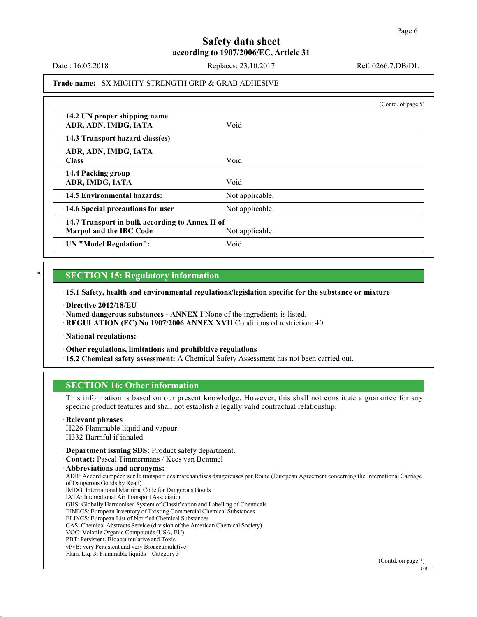GB

# **Safety data sheet according to 1907/2006/EC, Article 31**

Date : 16.05.2018 Replaces: 23.10.2017 Ref: 0266.7.DB/DL

#### **Trade name:** SX MIGHTY STRENGTH GRIP & GRAB ADHESIVE

|                                                                            |                 | (Contd. of page 5) |
|----------------------------------------------------------------------------|-----------------|--------------------|
| $\cdot$ 14.2 UN proper shipping name<br>ADR, ADN, IMDG, IATA               | Void            |                    |
| 14.3 Transport hazard class(es)                                            |                 |                    |
| ADR, ADN, IMDG, IATA<br>- Class                                            | Void            |                    |
| 14.4 Packing group<br>ADR, IMDG, IATA                                      | Void            |                    |
| 14.5 Environmental hazards:                                                | Not applicable. |                    |
| 14.6 Special precautions for user                                          | Not applicable. |                    |
| 14.7 Transport in bulk according to Annex II of<br>Marpol and the IBC Code | Not applicable. |                    |
| · UN "Model Regulation":                                                   | Void            |                    |

#### **SECTION 15: Regulatory information**

· **15.1 Safety, health and environmental regulations/legislation specific for the substance or mixture**

· **Directive 2012/18/EU**

· **Named dangerous substances - ANNEX I** None of the ingredients is listed.

· **REGULATION (EC) No 1907/2006 ANNEX XVII** Conditions of restriction: 40

· **National regulations:**

· **Other regulations, limitations and prohibitive regulations** -

· **15.2 Chemical safety assessment:** A Chemical Safety Assessment has not been carried out.

# **SECTION 16: Other information**

This information is based on our present knowledge. However, this shall not constitute a guarantee for any specific product features and shall not establish a legally valid contractual relationship.

· **Relevant phrases**

H226 Flammable liquid and vapour. H332 Harmful if inhaled.

- · **Department issuing SDS:** Product safety department.
- · **Contact:** Pascal Timmermans / Kees van Bemmel

· **Abbreviations and acronyms:** ADR: Accord européen sur le transport des marchandises dangereuses par Route (European Agreement concerning the International Carriage of Dangerous Goods by Road) IMDG: International Maritime Code for Dangerous Goods IATA: International Air Transport Association GHS: Globally Harmonised System of Classification and Labelling of Chemicals EINECS: European Inventory of Existing Commercial Chemical Substances ELINCS: European List of Notified Chemical Substances CAS: Chemical Abstracts Service (division of the American Chemical Society) VOC: Volatile Organic Compounds(USA, EU) PBT: Persistent, Bioaccumulative and Toxic vPvB: very Persistent and very Bioaccumulative Flam. Liq. 3: Flammable liquids – Category 3 (Contd. on page 7)